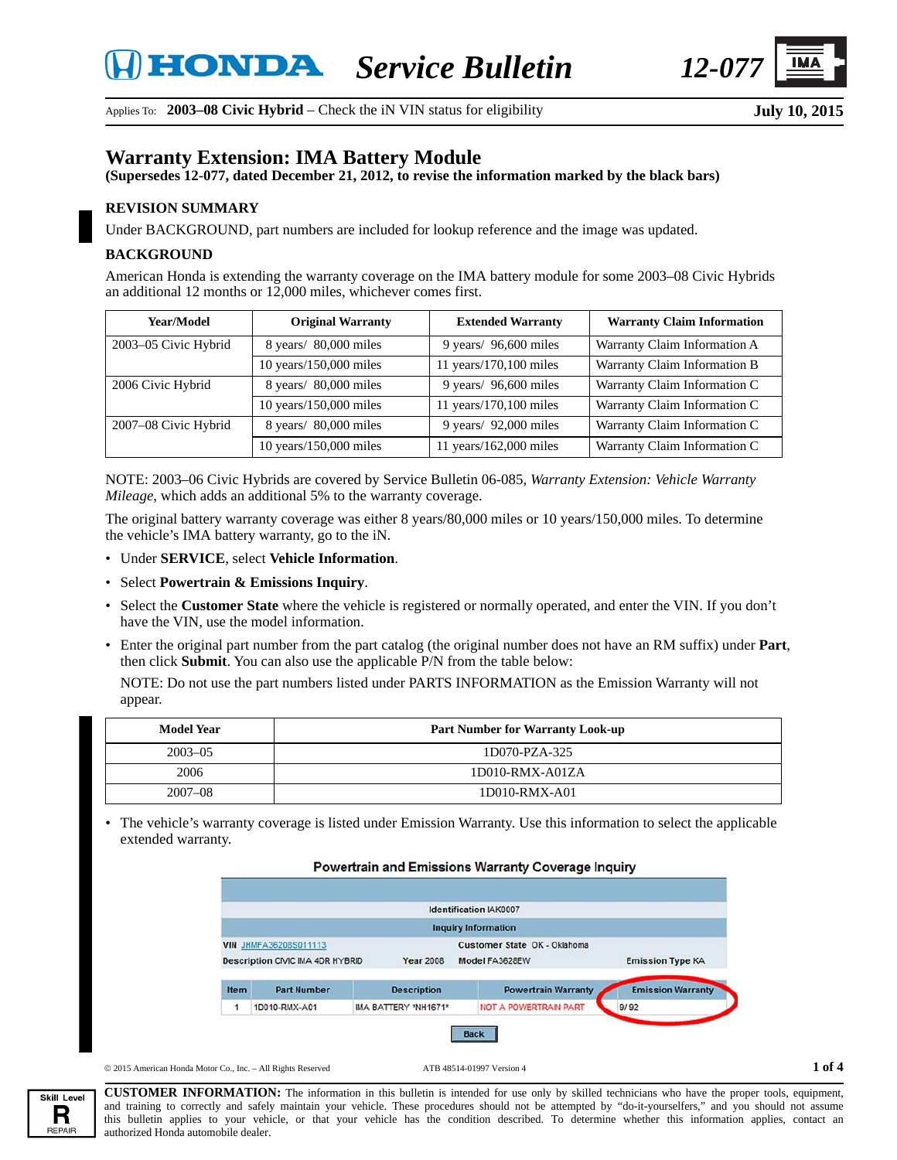

Applies To: **2003–08 Civic Hybrid** – Check the iN VIN status for eligibility

# **Warranty Extension: IMA Battery Module**

**(Supersedes 12-077, dated December 21, 2012, to revise the information marked by the black bars)**

#### **REVISION SUMMARY**

Under BACKGROUND, part numbers are included for lookup reference and the image was updated.

#### **BACKGROUND**

American Honda is extending the warranty coverage on the IMA battery module for some 2003–08 Civic Hybrids an additional 12 months or 12,000 miles, whichever comes first.

| Year/Model           | <b>Original Warranty</b>                 | <b>Extended Warranty</b> | <b>Warranty Claim Information</b> |
|----------------------|------------------------------------------|--------------------------|-----------------------------------|
| 2003-05 Civic Hybrid | 8 years/80,000 miles                     | 9 years/ $96,600$ miles  | Warranty Claim Information A      |
|                      | $10$ years/ $150,000$ miles              | 11 years/170,100 miles   | Warranty Claim Information B      |
| 2006 Civic Hybrid    | $8 \text{ years} / 80,000 \text{ miles}$ | 9 years/ $96,600$ miles  | Warranty Claim Information C      |
|                      | $10$ years/ $150,000$ miles              | 11 years/170,100 miles   | Warranty Claim Information C      |
| 2007-08 Civic Hybrid | $8 \text{ years} / 80,000 \text{ miles}$ | 9 years/ $92,000$ miles  | Warranty Claim Information C      |
|                      | 10 years/150,000 miles                   | 11 years/162,000 miles   | Warranty Claim Information C      |

NOTE: 2003–06 Civic Hybrids are covered by Service Bulletin 06-085, *Warranty Extension: Vehicle Warranty Mileage*, which adds an additional 5% to the warranty coverage.

The original battery warranty coverage was either 8 years/80,000 miles or 10 years/150,000 miles. To determine the vehicle's IMA battery warranty, go to the iN.

- Under **SERVICE**, select **Vehicle Information**.
- Select **Powertrain & Emissions Inquiry**.
- Select the **Customer State** where the vehicle is registered or normally operated, and enter the VIN. If you don't have the VIN, use the model information.
- Enter the original part number from the part catalog (the original number does not have an RM suffix) under **Part**, then click **Submit**. You can also use the applicable P/N from the table below:

NOTE: Do not use the part numbers listed under PARTS INFORMATION as the Emission Warranty will not appear.

| <b>Model Year</b> | <b>Part Number for Warranty Look-up</b> |
|-------------------|-----------------------------------------|
| $2003 - 05$       | 1D070-PZA-325                           |
| 2006              | 1D010-RMX-A01ZA                         |
| $2007 - 08$       | 1D010-RMX-A01                           |

• The vehicle's warranty coverage is listed under Emission Warranty. Use this information to select the applicable extended warranty.

#### Powertrain and Emissions Warranty Coverage Inquiry



 $\circ$  2015 American Honda Motor Co., Inc. – All Rights Reserved **ATB** 48514-01997 Version 4 **1 of 4** 

Skill Level R **REPAIR** 

**CUSTOMER INFORMATION:** The information in this bulletin is intended for use only by skilled technicians who have the proper tools, equipment, and training to correctly and safely maintain your vehicle. These procedures should not be attempted by "do-it-yourselfers," and you should not assume this bulletin applies to your vehicle, or that your vehicle has the condition described. To determine whether this information applies, contact an authorized Honda automobile dealer.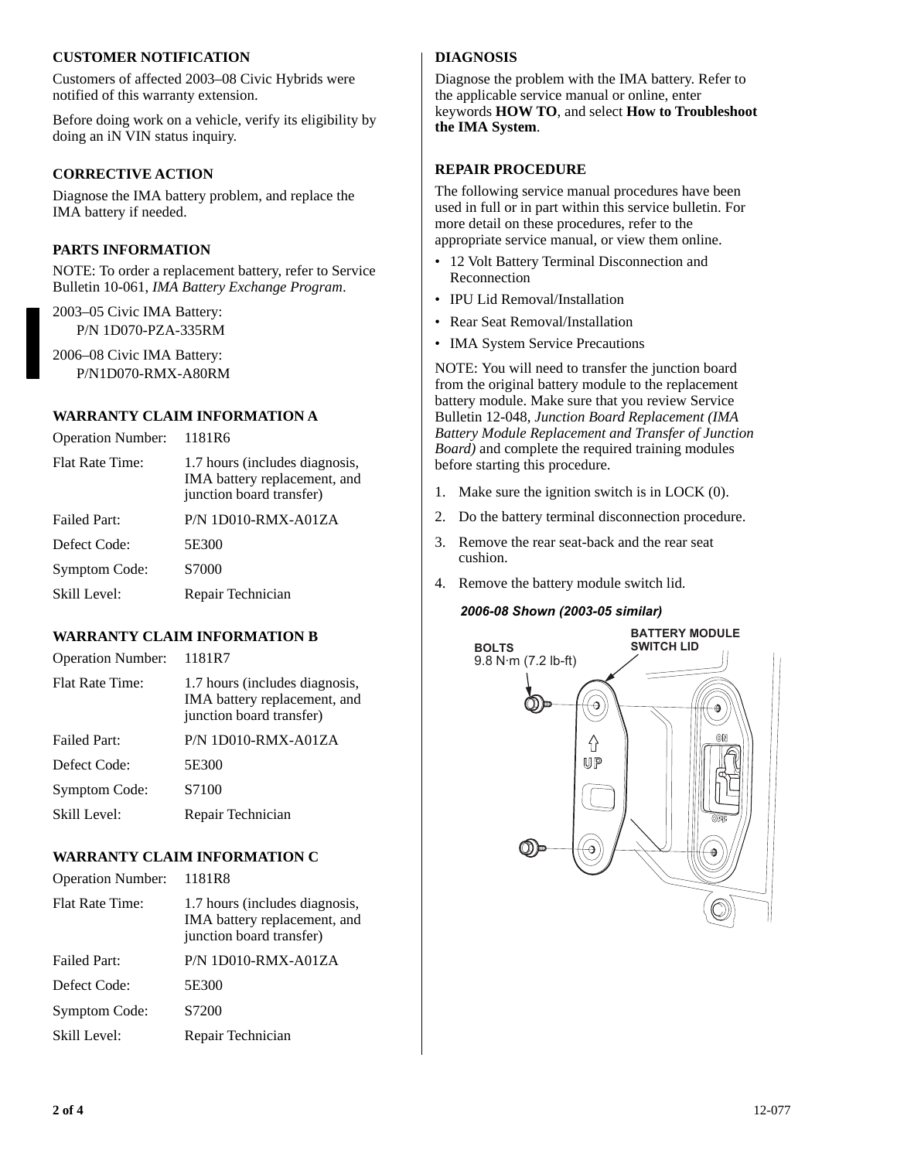### **CUSTOMER NOTIFICATION**

Customers of affected 2003–08 Civic Hybrids were notified of this warranty extension.

Before doing work on a vehicle, verify its eligibility by doing an iN VIN status inquiry.

## **CORRECTIVE ACTION**

Diagnose the IMA battery problem, and replace the IMA battery if needed.

## **PARTS INFORMATION**

NOTE: To order a replacement battery, refer to Service Bulletin 10-061, *IMA Battery Exchange Program*.

2003–05 Civic IMA Battery: P/N 1D070-PZA-335RM

2006–08 Civic IMA Battery: P/N1D070-RMX-A80RM

## **WARRANTY CLAIM INFORMATION A**

| <b>Operation Number:</b> | 1181R6                                                                                     |
|--------------------------|--------------------------------------------------------------------------------------------|
| <b>Flat Rate Time:</b>   | 1.7 hours (includes diagnosis,<br>IMA battery replacement, and<br>junction board transfer) |
| <b>Failed Part:</b>      | $P/N 1D010-RMX-A01ZA$                                                                      |
| Defect Code:             | 5E300                                                                                      |
| Symptom Code:            | S7000                                                                                      |
| Skill Level:             | Repair Technician                                                                          |
|                          |                                                                                            |

# **WARRANTY CLAIM INFORMATION B**

| <b>Operation Number:</b> | 1181R7                                                                                     |
|--------------------------|--------------------------------------------------------------------------------------------|
| Flat Rate Time:          | 1.7 hours (includes diagnosis,<br>IMA battery replacement, and<br>junction board transfer) |
| Failed Part:             | $P/N 1D010-RMX-A01ZA$                                                                      |
| Defect Code:             | 5E300                                                                                      |
| <b>Symptom Code:</b>     | S7100                                                                                      |
| Skill Level:             | Repair Technician                                                                          |

## **WARRANTY CLAIM INFORMATION C**

| <b>Operation Number:</b> | 1181R8                                                                                     |
|--------------------------|--------------------------------------------------------------------------------------------|
| <b>Flat Rate Time:</b>   | 1.7 hours (includes diagnosis,<br>IMA battery replacement, and<br>junction board transfer) |
| <b>Failed Part:</b>      | $P/N 1D010-RMX-A01ZA$                                                                      |
| Defect Code:             | 5E300                                                                                      |
| Symptom Code:            | S7200                                                                                      |
| Skill Level:             | Repair Technician                                                                          |
|                          |                                                                                            |

# **DIAGNOSIS**

Diagnose the problem with the IMA battery. Refer to the applicable service manual or online, enter keywords **HOW TO**, and select **How to Troubleshoot the IMA System**.

### **REPAIR PROCEDURE**

The following service manual procedures have been used in full or in part within this service bulletin. For more detail on these procedures, refer to the appropriate service manual, or view them online.

- 12 Volt Battery Terminal Disconnection and Reconnection
- IPU Lid Removal/Installation
- Rear Seat Removal/Installation
- IMA System Service Precautions

NOTE: You will need to transfer the junction board from the original battery module to the replacement battery module. Make sure that you review Service Bulletin 12-048, *Junction Board Replacement (IMA Battery Module Replacement and Transfer of Junction Board)* and complete the required training modules before starting this procedure.

- 1. Make sure the ignition switch is in LOCK (0).
- 2. Do the battery terminal disconnection procedure.
- 3. Remove the rear seat-back and the rear seat cushion.
- 4. Remove the battery module switch lid.

### *2006-08 Shown (2003-05 similar)*

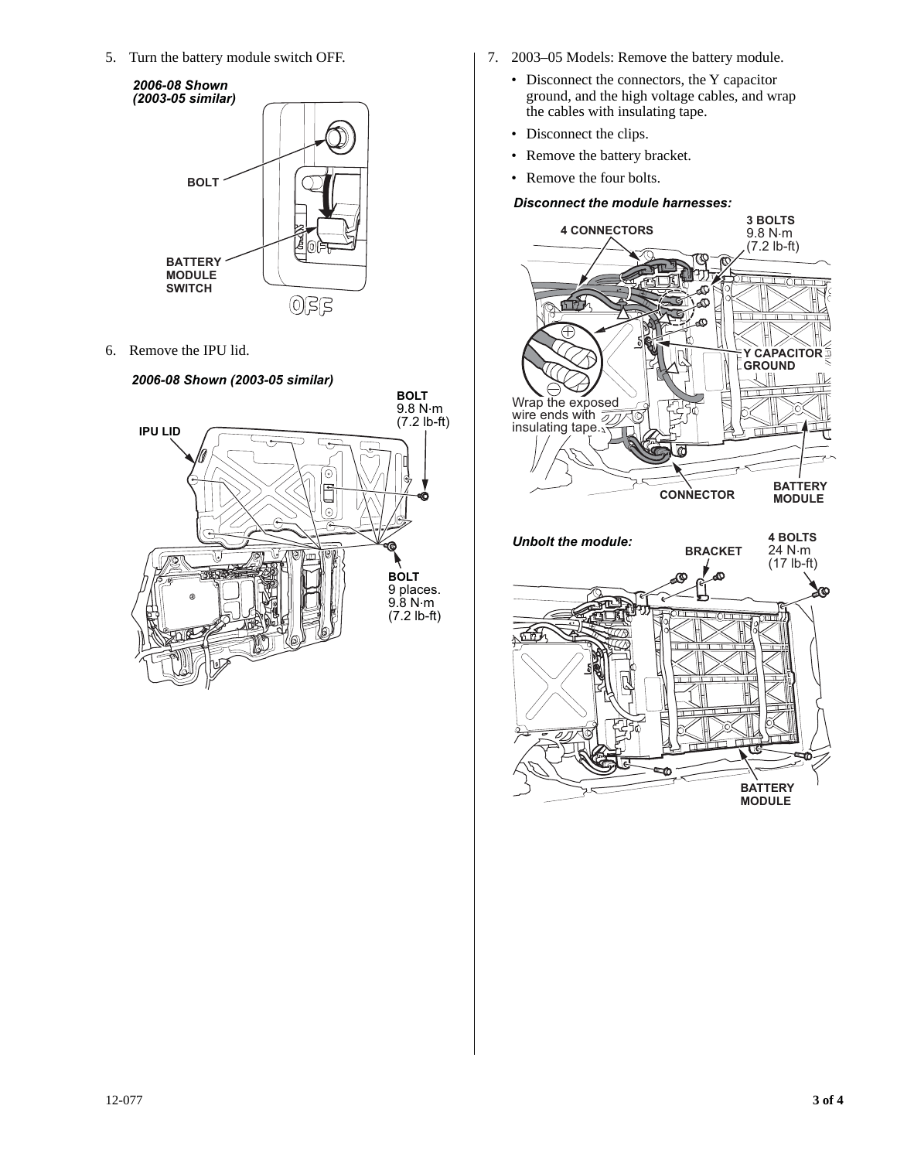5. Turn the battery module switch OFF.



6. Remove the IPU lid.

### *2006-08 Shown (2003-05 similar)*



- 7. 2003–05 Models: Remove the battery module.
	- Disconnect the connectors, the Y capacitor ground, and the high voltage cables, and wrap the cables with insulating tape.
	- Disconnect the clips.
	- Remove the battery bracket.
	- Remove the four bolts.

## *Disconnect the module harnesses:*